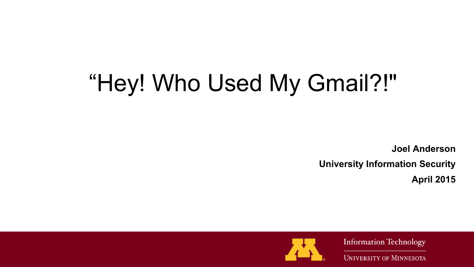# "Hey! Who Used My Gmail?!"

 **Joel Anderson**

**University Information Security**

**April 2015**



**Information Technology**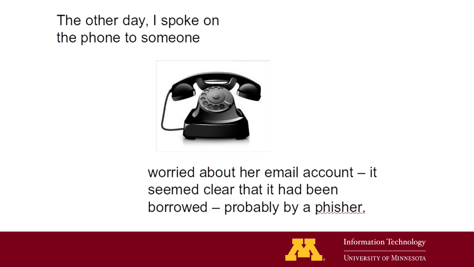The other day, I spoke on the phone to someone



worried about her email account – it seemed clear that it had been borrowed – probably by a phisher.



**Information Technology**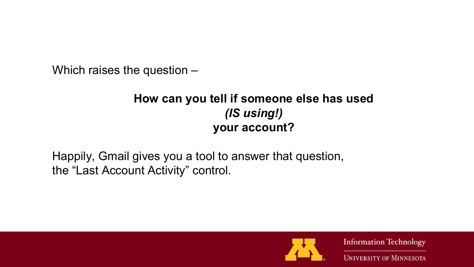Which raises the question –

### **How can you tell if someone else has used**  *(IS using!)* **your account?**

Happily, Gmail gives you a tool to answer that question, the "Last Account Activity" control.



**Information Technology**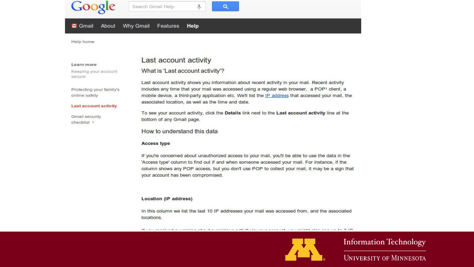#### Google Search Gmail Help

#### **Why Gmail** About Features Help **M** Gmail

Help home

#### Learn more

Keeping your account secure

Protecting your family's online safety

#### Last account activity

**Gmail security** checklist I

### Last account activity

### What is 'Last account activity'?

Last account activity shows you information about recent activity in your mail. Recent activity includes any time that your mail was accessed using a regular web browser, a POP1 client, a mobile device, a third-party application etc. We'll list the IP address that accessed your mail, the associated location, as well as the time and date.

 $\Omega$ 

To see your account activity, click the Details link next to the Last account activity line at the bottom of any Gmail page.

#### How to understand this data

#### **Access type**

If you're concerned about unauthorized access to your mail, you'll be able to use the data in the 'Access type' column to find out if and when someone accessed your mail. For instance, if the column shows any POP access, but you don't use POP to collect your mail, it may be a sign that your account has been compromised.

#### **Location (IP address)**

In this column we list the last 10 IP addresses your mail was accessed from, and the associated locations.

(2) your completed to consider the collection of the collection of the collection of the collection of the collection of the SUPS of the collection of the SUPS of the collection of the SUPS of the collection of the SUPS of



**Information Technology**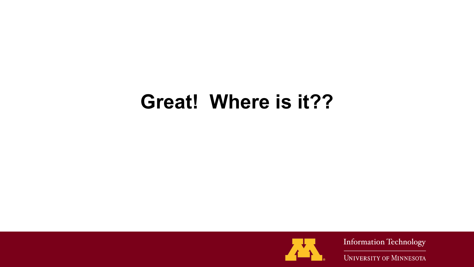# **Great! Where is it??**



**Information Technology**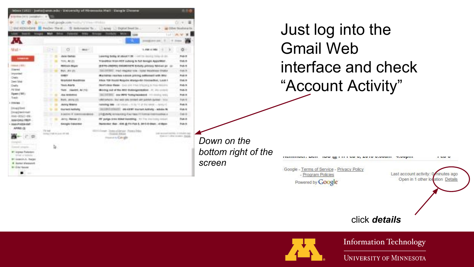| o                                                   | A Fair United google sale multiply stress residual                 |                                                                                                                                                              | $\mathbf{u}$<br>$-11.1$<br>o. |
|-----------------------------------------------------|--------------------------------------------------------------------|--------------------------------------------------------------------------------------------------------------------------------------------------------------|-------------------------------|
|                                                     | DICKOSHONE M ProDe Term  IS television by  Linear Li Dipod Seat be |                                                                                                                                                              | all Dilver Simplaine Rx.      |
|                                                     |                                                                    | Lot 10<br>$-$                                                                                                                                                |                               |
| ĉ.                                                  |                                                                    | 49-14039-1-120-2<br>$+11$                                                                                                                                    |                               |
| Mail +                                              | o<br>٠                                                             | 1.292.11.993                                                                                                                                                 | O .                           |
|                                                     | <b>Julie (Senate)</b>                                              | bearing being of should little in an excel being about                                                                                                       | Fug. 8                        |
| ---                                                 | TOTAL ARE USE                                                      | Transmiss from FEB suborg to full dioculis AppleMen-                                                                                                         | Full 8                        |
| <b>TORONTO (1979)</b>                               | ۰<br><b>Mittaux Boys</b>                                           | (8/819-14689) ENGAREEN Evitally pictury faceuse ps 12                                                                                                        | Pub. b.                       |
| Edgewal <sup>1</sup>                                | BALL (AIL 27)                                                      | TERRIC - IPAID HOLDAY TOW - ESSAY PACKWASE ERGAUX                                                                                                            | <b>Date &amp;</b>             |
| proporting to                                       | <b>COMPT</b><br>œ                                                  | Marketer resches indicate printing additionally with Bibly-                                                                                                  | Pud. B                        |
| Owis<br><b>Swed School</b>                          | <b>Washing Bigdetton</b>                                           | ABox 130 Street Regular Margolds (Stendarthe), Lock 1.                                                                                                       | Tuti 8                        |
| <b>Chefts</b>                                       | Toyle Averts                                                       | SEARCHES BASE - SING 2003 FRAUDRUPULS PRINTERS FOR                                                                                                           | Pub. N.                       |
| Ad fulled                                           | THIS . VANREL ALCO.                                                | Mostray and of the MOT-Buddelgammakees - In Jim creditors                                                                                                    | Tub. 8                        |
| <b>Symney Will</b>                                  | Aug. Art&count<br>$\sim$<br>×<br>٠                                 | INCORDE: 464 MFS ToAu/weekend 11 Deliver VIII)                                                                                                               | FUEL 5                        |
| Track                                               | <b>MAIL</b> , JAVIN 171<br>×                                       | LINES/MADE-TRUE was also consent aller pundent dankeli - bolsci                                                                                              | <b>Plate N</b>                |
| 1.000364<br><b>Imaginei</b>                         | Anty trents                                                        | <b>NAMING MIG.</b> - IN YORKE - TO BE 17 UP THE MILE - APPLY OF                                                                                              | Pats 6                        |
|                                                     | <b>DATAIT MYNIS</b><br>٠                                           | (ELEMENTARY) and control tractant Activity - activity to                                                                                                     | Full b                        |
| (may) terit mail:                                   | n<br>3 840 91 91 91 91 91 92<br>$-2000$                            | 1-8 granded demissioning disad tapes in them as installment as a                                                                                             | <b>Fall</b> Et                |
| AMH-BOLO-BW-<br>ANA CAILITIES-                      | Janny Messe (I)<br>٠<br>٠<br>m                                     | BY JURUS SINN FORM ENAMERS . THIS IS A SHOULD AND AT                                                                                                         | Padi At                       |
| · Ann Prettie dat -                                 | SAASI TAHUNG<br>т                                                  | harantur, that - 616, gi F1 Fut-5, 3013-8-9601 - 416001                                                                                                      | Pub.b.                        |
| APPROVER                                            | <b>The most</b><br>looks 2108 to June 1970.                        | ar Jona alderda: Panis Inka.<br>Lost economicantes of transfer age-<br>Tourish A. A. Kingdom<br>FIND AT 1874 TO \$500. Double<br><b>Francisco Automobile</b> |                               |
| competiti                                           |                                                                    |                                                                                                                                                              |                               |
| timed strate.                                       | ъ.                                                                 |                                                                                                                                                              |                               |
| <b>W1 Annual Pulselant</b><br>initiati al falminist |                                                                    |                                                                                                                                                              |                               |
| <b>Bri Lugarizi, A. Parison</b>                     |                                                                    |                                                                                                                                                              |                               |
| # Junior Virginian                                  |                                                                    |                                                                                                                                                              |                               |

Just log into the Gmail Web interface and check "Account Activity"

**INV IN FILL ON V. AVIV VIDUIIII** 

*Down on the bottom right of the screen*

### click *details*



**INSTITUTE LAST** 

Google - Terms of Service - Privacy Policy

- Program Policies

Powered by Google

**Information Technology** 

**TIVUMIII** 

Last account activity: 0

Open in 1 other location Details

**I WM W** 

minutes ago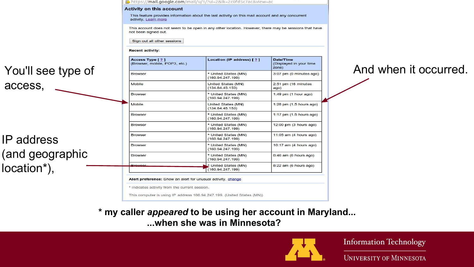### You'll see type of access,

IP address (and geographic location\*),

| Access Type [ ? ]<br>(Browser, mobile, POP3, etc.)           | Location (IP address) [ 2 ]                  | Date/Time<br>(Displayed in your time<br>zone) |
|--------------------------------------------------------------|----------------------------------------------|-----------------------------------------------|
| <b>Browser</b>                                               | * United States (MN)<br>(160.94.247.199)     | 3:07 pm (0 minutes ago)                       |
| Mobile                                                       | United States (MN)<br>(134.84.45.153)        | 2:51 pm (16 minutes<br>ago)                   |
| <b>Browser</b>                                               | * United States (MN)<br>(160.94.247.199)     | $1:49$ pm $(1$ hour ago)                      |
| Mobile                                                       | <b>United States (MN)</b><br>(134.84.45.153) | 1:28 pm (1.5 hours ago)                       |
| <b>Browser</b>                                               | * United States (MN)<br>(160.94.247.199)     | 1:17 pm (1.5 hours ago)                       |
| <b>Browser</b>                                               | * United States (MN)<br>(160.94.247.199)     | 12:00 pm (3 hours ago)                        |
| <b>Browser</b>                                               | * United States (MN)<br>(160.94.247.199)     | 11:05 am (4 hours ago)                        |
| <b>Browser</b>                                               | * United States (MN)<br>(160.94.247.199)     | 10:17 am (4 hours ago)                        |
| <b>Browser</b>                                               | * United States (MN)<br>(160.94.247.199)     | 8:46 am (6 hours ago)                         |
| <b>Browser</b>                                               | * United States (MN)<br>(160.94.247.199)     | 8:22 am (6 hours ago)                         |
| Alert preference: Show an alert for unusual activity. change |                                              |                                               |

This feature provides information about the last activity on this mail account and any concurrent

This account does not seem to be open in any other location. However, there may be sessions that have

https://**mail.google.com**/mail/u/1/?ui=2&ik=2c0fd5c7ac&view=ac

**Activity on this account** 

activity, Learn more

not been signed out.

### And when it occurred.

**\* my caller** *appeared* **to be using her account in Maryland... ...when she was in Minnesota?**



**Information Technology**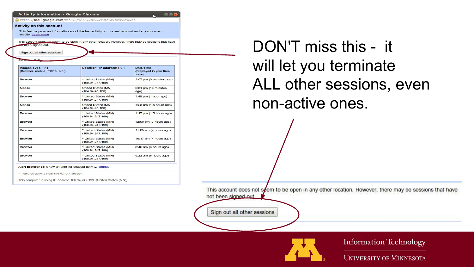| <b>Activity information - Google Chrome</b>                  |                                                                                                       | 000                                           |
|--------------------------------------------------------------|-------------------------------------------------------------------------------------------------------|-----------------------------------------------|
| https://mail.google.com/mail/u/1/?ui=2&ik=2c0fd5c7ac&view=ac |                                                                                                       |                                               |
| <b>Activity on this account</b>                              |                                                                                                       |                                               |
| activity, Learn more                                         | This feature provides information about the last activity on this mail account and any concurrent     |                                               |
| or peen signed out.                                          | This account does not seem to be open in any other location. However, there may be sessions that have |                                               |
| Sign out all other sessions                                  |                                                                                                       |                                               |
| Recent we had be-                                            |                                                                                                       |                                               |
| Access Type [ ? ]<br>(Browser, mobile, POP3, etc.)           | Location (IP address) [ ? ]                                                                           | Date/Time<br>(Displayed in your time<br>zone) |
| <b>Browser</b>                                               | * United States (MN)<br>(160.94.247.199)                                                              | 3:07 pm (0 minutes ago)                       |
| <b>Mobile</b>                                                | United States (MN)<br>(134.84.45.153)                                                                 | $2:51$ pm (16 minutes<br>ago)                 |
| <b>Browser</b>                                               | * United States (MN)<br>(160.94.247.199)                                                              | $1:49$ pm $(1$ hour ago)                      |
| Mobile                                                       | United States (MN)<br>(134.84.45.153)                                                                 | 1:28 pm (1.5 hours ago)                       |
| Browser                                                      | * United States (MN)<br>(160.94.247.199)                                                              | $1:17$ pm $(1.5$ hours ago)                   |
| <b>Browser</b>                                               | * United States (MN)<br>(160.94.247.199)                                                              | 12:00 pm (3 hours ago)                        |
| <b>Browser</b>                                               | * United States (MN)<br>(160.94.247.199)                                                              | $11:05$ am $(4$ hours ago)                    |
| <b>Browser</b>                                               | * United States (MN)<br>(160.94.247.199)                                                              | 10:17 am (4 hours ago)                        |
| <b>Browser</b>                                               | * United States (MN)<br>(160.94.247.199)                                                              | 8:46 am (6 hours ago)                         |
| <b>Browser</b>                                               | * United States (MN)<br>(160.94.247.199)                                                              | 8:22 am (6 hours ago)                         |

#### Alert preference: Show an alert for unusual activity. change

\* indicates activity from the current session

This computer is using IP address 160.94.247.199. (United States (MN))

DON'T miss this - it will let you terminate ALL other sessions, even non-active ones.

This account does not seem to be open in any other location. However, there may be sessions that have not been signed out

Sign out all other sessions



**Information Technology**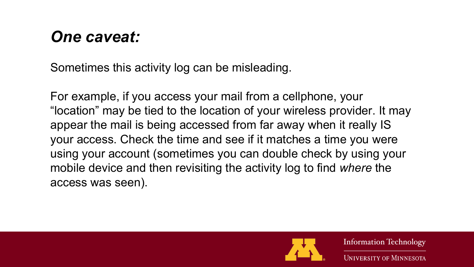## *One caveat:*

Sometimes this activity log can be misleading.

For example, if you access your mail from a cellphone, your "location" may be tied to the location of your wireless provider. It may appear the mail is being accessed from far away when it really IS your access. Check the time and see if it matches a time you were using your account (sometimes you can double check by using your mobile device and then revisiting the activity log to find *where* the access was seen).



**Information Technology**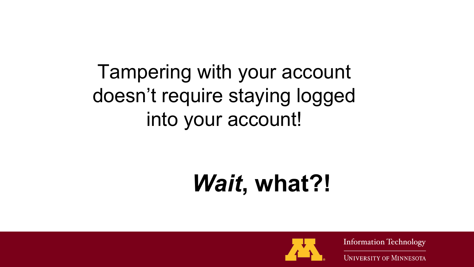# Tampering with your account doesn't require staying logged into your account!

# *Wait***, what?!**



**Information Technology**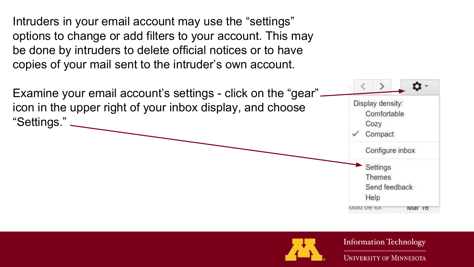Intruders in your email account may use the "settings" options to change or add filters to your account. This may be done by intruders to delete official notices or to have copies of your mail sent to the intruder's own account.





**Information Technology**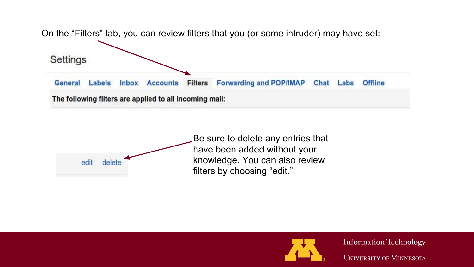





**Information Technology**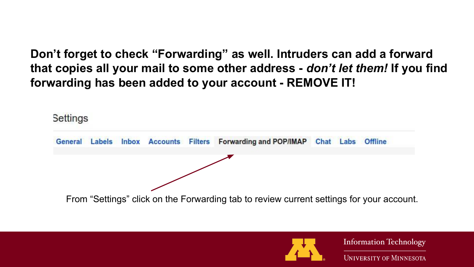**Don't forget to check "Forwarding" as well. Intruders can add a forward that copies all your mail to some other address -** *don't let them!* **If you find forwarding has been added to your account - REMOVE IT!**

Settings





**Information Technology**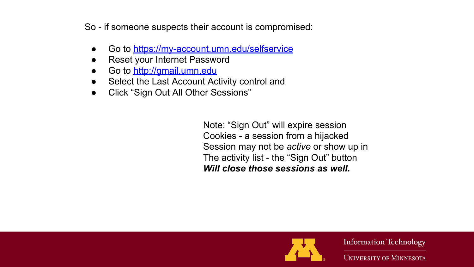So - if someone suspects their account is compromised:

- Go to <https://my-account.umn.edu/selfservice>
- Reset your Internet Password
- Go to <http://gmail.umn.edu>
- Select the Last Account Activity control and
- Click "Sign Out All Other Sessions"

Note: "Sign Out" will expire session Cookies - a session from a hijacked Session may not be *active* or show up in The activity list - the "Sign Out" button *Will close those sessions as well.*



**Information Technology**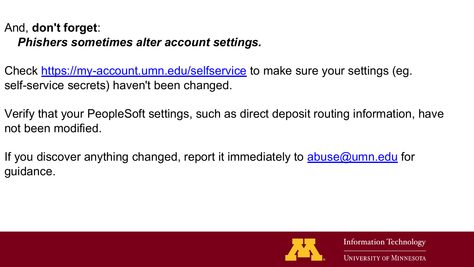### And, **don't forget**:  *Phishers sometimes alter account settings.*

Check <https://my-account.umn.edu/selfservice>to make sure your settings (eg. self-service secrets) haven't been changed.

Verify that your PeopleSoft settings, such as direct deposit routing information, have not been modified.

If you discover anything changed, report it immediately to **[abuse@umn.edu](mailto:abuse@umn.edu)** for guidance.



**Information Technology**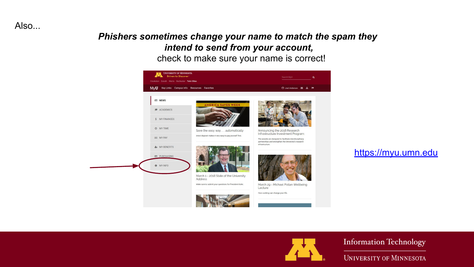Also...

### *Phishers sometimes change your name to match the spam they intend to send from your account,*

### check to make sure your name is correct!



### <https://myu.umn.edu>



**Information Technology**